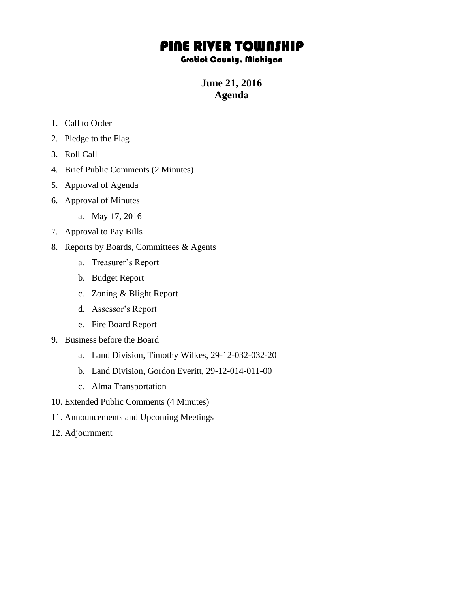## PINE RIVER TOWNSHIP

## Gratiot County, Michigan

**June 21, 2016 Agenda**

- 1. Call to Order
- 2. Pledge to the Flag
- 3. Roll Call
- 4. Brief Public Comments (2 Minutes)
- 5. Approval of Agenda
- 6. Approval of Minutes
	- a. May 17, 2016
- 7. Approval to Pay Bills
- 8. Reports by Boards, Committees & Agents
	- a. Treasurer's Report
	- b. Budget Report
	- c. Zoning & Blight Report
	- d. Assessor's Report
	- e. Fire Board Report
- 9. Business before the Board
	- a. Land Division, Timothy Wilkes, 29-12-032-032-20
	- b. Land Division, Gordon Everitt, 29-12-014-011-00
	- c. Alma Transportation
- 10. Extended Public Comments (4 Minutes)
- 11. Announcements and Upcoming Meetings
- 12. Adjournment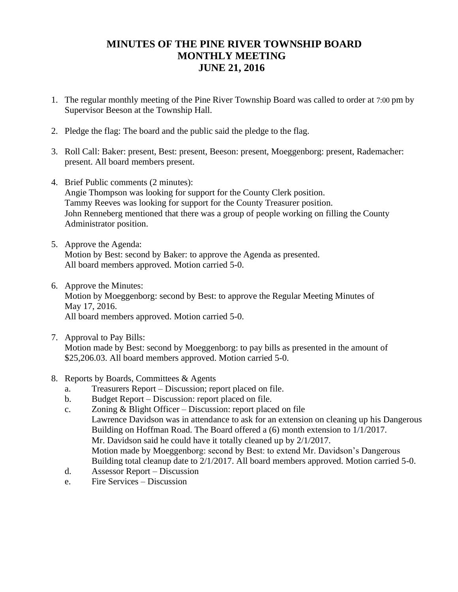## **MINUTES OF THE PINE RIVER TOWNSHIP BOARD MONTHLY MEETING JUNE 21, 2016**

- 1. The regular monthly meeting of the Pine River Township Board was called to order at 7:00 pm by Supervisor Beeson at the Township Hall.
- 2. Pledge the flag: The board and the public said the pledge to the flag.
- 3. Roll Call: Baker: present, Best: present, Beeson: present, Moeggenborg: present, Rademacher: present. All board members present.
- 4. Brief Public comments (2 minutes): Angie Thompson was looking for support for the County Clerk position. Tammy Reeves was looking for support for the County Treasurer position. John Renneberg mentioned that there was a group of people working on filling the County Administrator position.
- 5. Approve the Agenda: Motion by Best: second by Baker: to approve the Agenda as presented. All board members approved. Motion carried 5-0.
- 6. Approve the Minutes: Motion by Moeggenborg: second by Best: to approve the Regular Meeting Minutes of May 17, 2016. All board members approved. Motion carried 5-0.
- 7. Approval to Pay Bills: Motion made by Best: second by Moeggenborg: to pay bills as presented in the amount of \$25,206.03. All board members approved. Motion carried 5-0.
- 8. Reports by Boards, Committees & Agents
	- a. Treasurers Report Discussion; report placed on file.
	- b. Budget Report Discussion: report placed on file.
	- c. Zoning & Blight Officer Discussion: report placed on file Lawrence Davidson was in attendance to ask for an extension on cleaning up his Dangerous Building on Hoffman Road. The Board offered a (6) month extension to 1/1/2017. Mr. Davidson said he could have it totally cleaned up by 2/1/2017. Motion made by Moeggenborg: second by Best: to extend Mr. Davidson's Dangerous Building total cleanup date to 2/1/2017. All board members approved. Motion carried 5-0.
	- d. Assessor Report Discussion
	- e. Fire Services Discussion